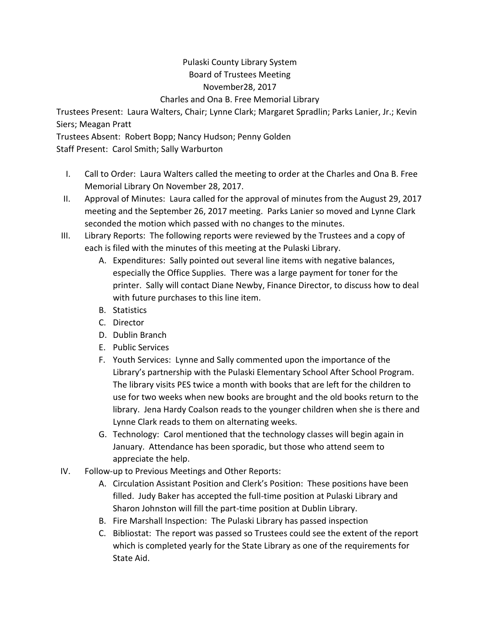## Pulaski County Library System Board of Trustees Meeting November28, 2017 Charles and Ona B. Free Memorial Library

Trustees Present: Laura Walters, Chair; Lynne Clark; Margaret Spradlin; Parks Lanier, Jr.; Kevin Siers; Meagan Pratt

Trustees Absent: Robert Bopp; Nancy Hudson; Penny Golden

Staff Present: Carol Smith; Sally Warburton

- I. Call to Order: Laura Walters called the meeting to order at the Charles and Ona B. Free Memorial Library On November 28, 2017.
- II. Approval of Minutes: Laura called for the approval of minutes from the August 29, 2017 meeting and the September 26, 2017 meeting. Parks Lanier so moved and Lynne Clark seconded the motion which passed with no changes to the minutes.
- III. Library Reports: The following reports were reviewed by the Trustees and a copy of each is filed with the minutes of this meeting at the Pulaski Library.
	- A. Expenditures: Sally pointed out several line items with negative balances, especially the Office Supplies. There was a large payment for toner for the printer. Sally will contact Diane Newby, Finance Director, to discuss how to deal with future purchases to this line item.
	- B. Statistics
	- C. Director
	- D. Dublin Branch
	- E. Public Services
	- F. Youth Services: Lynne and Sally commented upon the importance of the Library's partnership with the Pulaski Elementary School After School Program. The library visits PES twice a month with books that are left for the children to use for two weeks when new books are brought and the old books return to the library. Jena Hardy Coalson reads to the younger children when she is there and Lynne Clark reads to them on alternating weeks.
	- G. Technology: Carol mentioned that the technology classes will begin again in January. Attendance has been sporadic, but those who attend seem to appreciate the help.
- IV. Follow-up to Previous Meetings and Other Reports:
	- A. Circulation Assistant Position and Clerk's Position: These positions have been filled. Judy Baker has accepted the full-time position at Pulaski Library and Sharon Johnston will fill the part-time position at Dublin Library.
	- B. Fire Marshall Inspection: The Pulaski Library has passed inspection
	- C. Bibliostat: The report was passed so Trustees could see the extent of the report which is completed yearly for the State Library as one of the requirements for State Aid.